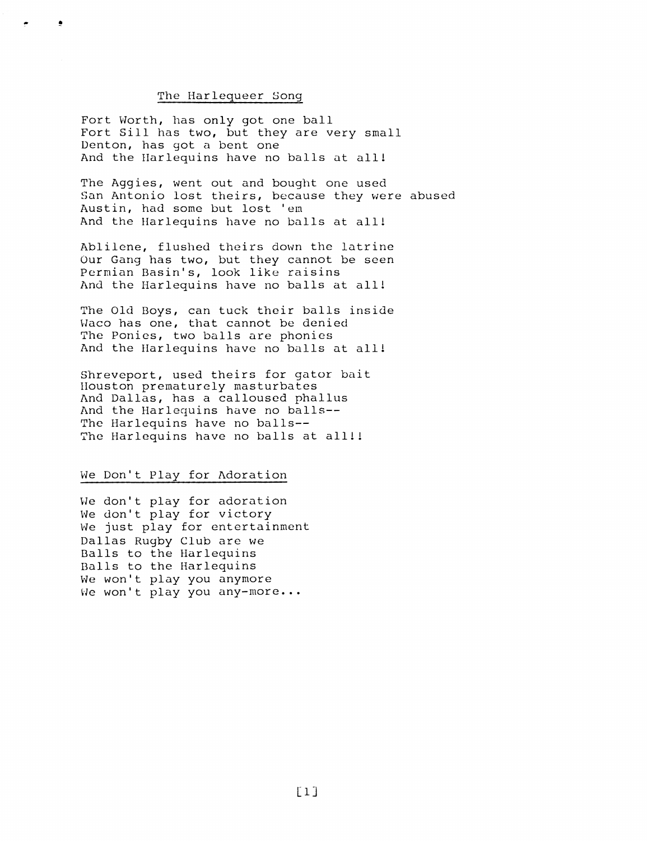### The Harlequeer Song

Fort Worth, has only got one ball Fort Sill has two, but they are very small Denton, has got a bent one And the Harlequins have no balls at all!

The Aggies, went out and bought one used San Antonio lost theirs, because they were abused Austin, had some but lost 'em And the Harlequins have no balls at all!

Ablilene, flushed theirs down the latrine Our Gang has two, but they cannot be seen Permian Basin's, look like raisins And the Harlequins have no balls at all!

The Old Boys, can tuck their balls inside Waco has one, that cannot be denied The Ponies, two balls are phonies And the Harlequins have no balls at all!

Shreveport, used theirs for gator bait Houston prematurely masturbates And Dallas, has a calloused phallus And the Harlequins have no balls-- The Harlequins have no balls-- The Harlequins have no balls at all!!

### We Don't Play for Adoration

We don't play for adoration We don't play for victory We just play for entertainment Dallas Rugby Club arc we Balls to the Harlequins Balls to the Harlequins We won't play you anymore We won't play you any-more...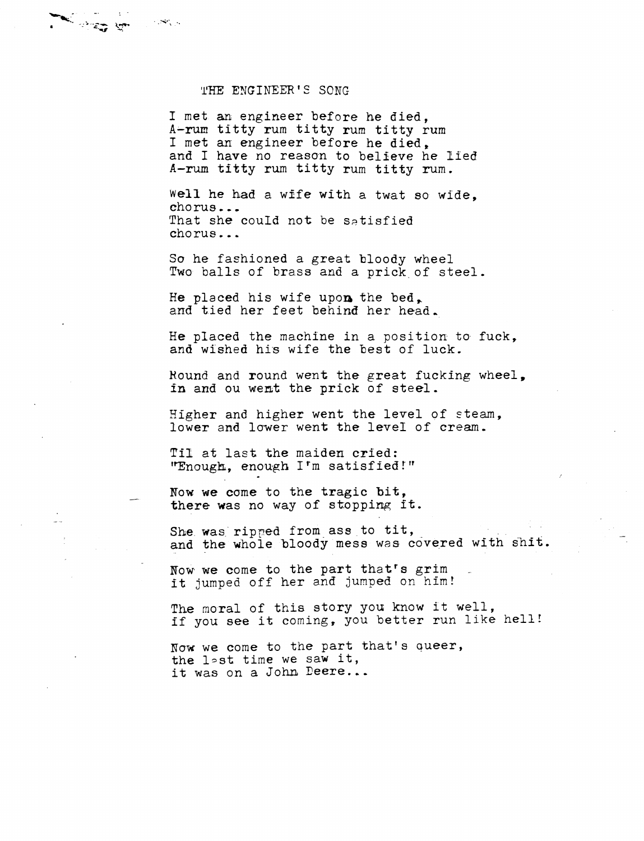## THE ENGINEER'S SONG

·.~··,, ...

**Carl Bay** 

I met an engineer before he died. A-rum titty rum titty rum titty rum I met an engineer before he died, and I have no reason to believe he lied A-rum titty rum titty rum titty rum.

Well he had a wife with a twat so wide, chorus ••• That she could not be satisfied chorus •••

So he fashioned a great bloody wheel Two balls of brass and a prick of steel.

He placed his wife upon the bed, and tied her feet behind her head.

He placed the machine in a position to fuck, and wished his wife the best of luck.

Round and round went the great fucking wheel. in and ou went the prick of steel.

Higher and higher went the level of steam, lower and lower went the level of cream.

Til at last the maiden cried: "Enough, enough I'm satisfied!"

Now we come to the tragic bit, there was no way of stopping it.

She was ripped from ass to tit, and the whole bloody mess was covered with shit.

Now we come to the part that's grim it jumped off her and jumped on him!

The moral of this story you know it well, if you see it coming, you better run like hell!

Now we come to the part that's queer, the lost time we saw it, it was on a John Deere...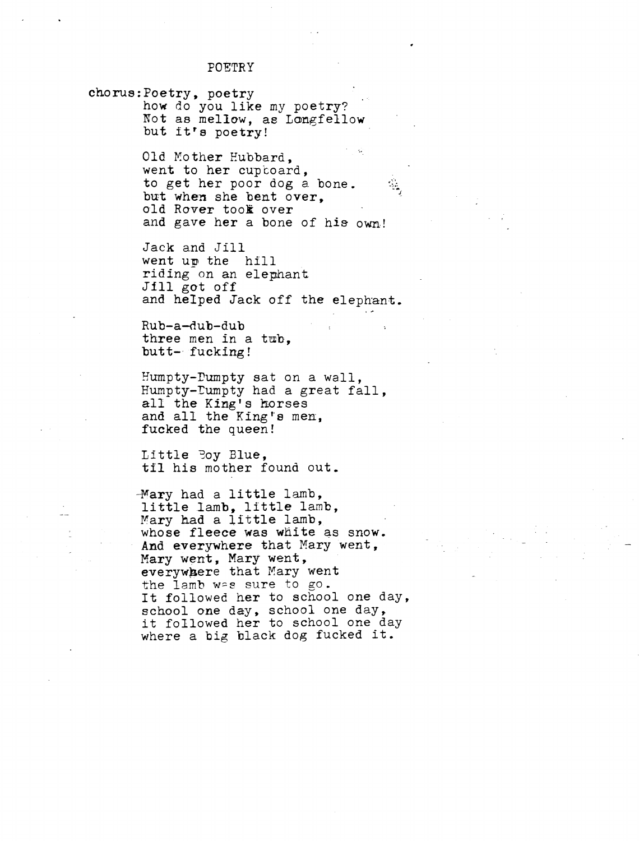## POETRY

chorus:Poetry, poetry how do you like my poetry? Not as mellow, as Longfellow but it's poetry!

> Old Mother Hubbard, went to her cupboard, to get her poor dog a bone.  $\mathcal{L}_{\mathcal{D}_{\mathbf{m}}}$ but when she bent over, old Rover took over and gave her a bone of hie own!

> Jack and Jill went up the hill riding-on an elephant Jill got off and helped Jack off the elephant.

Rub-a-dub-dub three men in a tub. butt-fucking!

Humpty-Dumpty sat on a wall. Humpty-Lumpty had a great fall, all the King's horses and all the King's men, fucked the queen!

Little Boy Blue, til his mother found out.

-Mary had a little lamb, little lamb. little lamb. Mary had a little lamb, whose fleece was white as snow. And everywhere that Mary went, Mary went, Mary went, everywhere that Mary went the lamb wes sure to go. It followed her to school one day, school one day, school one day, it followed her to school one day where a big black dog fucked it.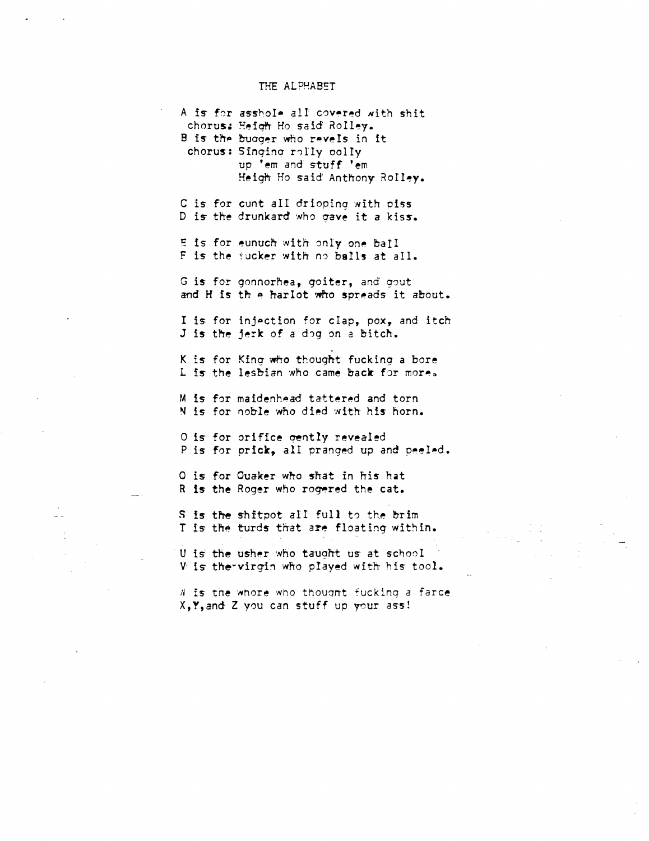#### THE ALPHABET

A is for asshole all covered with shit chorus: Heigh Ho said Rolley. B is the buoger who revels in it chorus: Sinq1no roIIy ooliy up 'em and stuff 'em Heigh Ho said' Anthony Rolley.

C is for cunt aII drioping with piss D is the drunkard who gave it a kiss.

E is for eunuch with only one baII F is the fucker with no balls at all.

G is for gonnorhea, goiter, and gout· and H is the harlot who spreads it about.

<sup>I</sup>is for inj•ction for clap, pox, and itch J is the jerk of a dog on a bitch.

K is for King who thought fucking a bore L is the lesbian who came back for more.

M is for maidenhead tattered and torn N is for noble who died with his horn.

 $0$  is for orifice cently revealed P is for prick, all pranged up and peeled.

0 is for Ouaker who *shat* in his hat R is the Roger who rogered the cat.

S is the shitpot all full to the brim T is the turds that are floating within.

U is the usher who taught us at school V is the virgin who played with his tool.

 $%$  is the whore who thought fucking a farce X,Y,and Z you can stuff up your ass!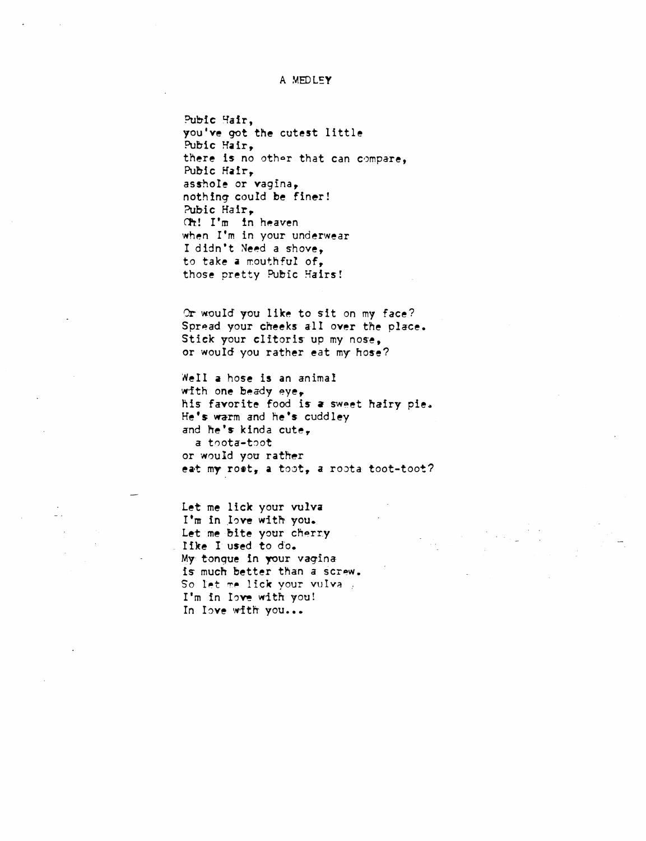### A MEDLEY

Pubic Hair, you've got the cutest little Pubic Hair, there is no other that can compare, Pubic Hair, asshole or vagina, nothing could be finer! Pubic Hair. Ch! I'm in heaven when I'm in your underwear I didn't Need a shove, to take a mouthful of, those pretty Pubic Hairs!

Or would you like to sit on my face? Spread your cheeks all over the place. Stick your clitoris up my nose, or would you rather eat my hose?

Well a hose is an animal with one beady eye, his favorite food is a sweet hairy pie. He's warm and he's cuddley and he's kinda cute, a toota-toot or would you rather eat my rost, a toot, a roota toot-toot?

Let me lick your vulva I'm in love with you. Let me bite your cherry Ifke I used to do. My tongue in your vagina is much better than a screw. So let me lick your vulva, I'm in love with you! In love with you...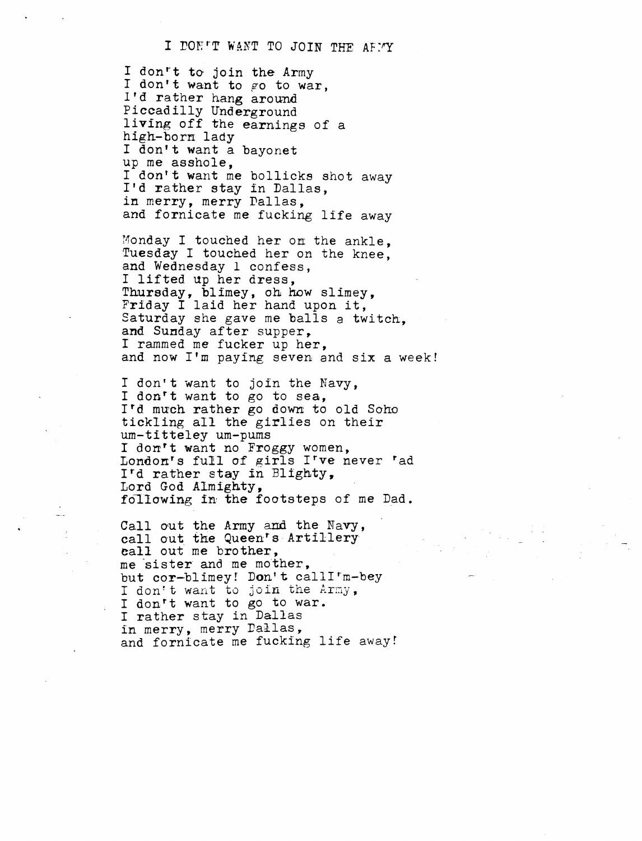# I DON'T WANT TO JOIN THE AFMY

I don't to join the Army I don't want to go to war, I'd rather hang around Piccadilly Underground living off the earnings of a high-born lady <sup>I</sup>don't want a bayonet up me asshole, I don't want me bollicks shot away I'd rather stay *in* Dallas, in merry, merry Dallas, and fornicate me fucking life away

Monday I touched her on the ankle, Tuesday I touched her on the knee, and Wednesday 1 confess, I lifted up her dress, Thursday, blimey, oh how slimey, Friday I laid her hand upon it, Saturday she gave me balls a twitch, and Sunday after supper, <sup>I</sup>rammed *me* fucker up her, and now I'm paying seven and six a week!

I don't want to join the Navy, I don't want to go to sea, I'd much rather go down to old Soho tickling all the girlies on their um-titteley um-pums <sup>I</sup>don't want no Froggy women, London's full of girls I've never 'ad I'd rather stay in Blighty,<br>Lord God Almighty, following in the footsteps of me Dad.

Call out the Army and the Navy, call out the Queen's Artillery call out me brother, me sister and me mother, but cor-blimey! Don't callI'm-bey I don't want to join the Army, I don't want to go to war. I rather stay in Dallas in merry, merry Dallas, and fornicate me fucking life away!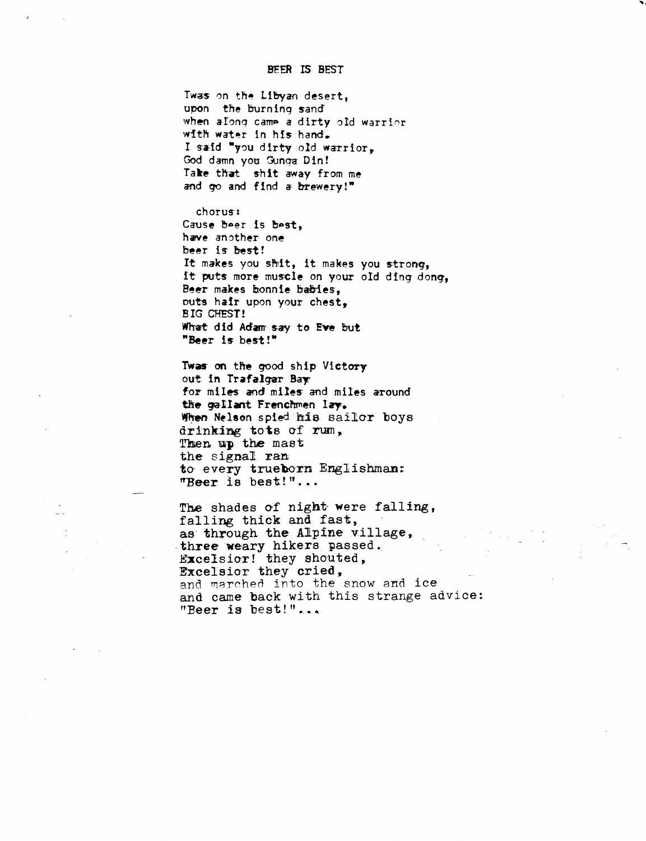### BEER IS BEST

Twas on the Libyan desert, upon the burning sand when along came a dirty old warrior with water in his hand. I said "you dirty old warrior. God damn you Gunga Din! Take that shit away from me and go and find a brewery!"

chorus: Cause beer is best, have another one beer is best! It makes you shit, it makes you strong, it puts more muscle on your old ding dong. Beer makes bonnie babies, puts hair upon your chest, **BIG CHEST!** What did Adam say to Eve but "Beer is best!"

Twas on the good ship Victory out in Trafalgar Bay for miles and miles and miles around the gallant Frenchmen lay. When Nelson spied his sailor boys drinking tots of rum, Then up the mast the signal ran to every trueborn Englishman: "Beer is best!"...

The shades of night were falling, falling thick and fast, as through the Alpine village, three weary hikers passed. Excelsior! they shouted, Excelsior they cried. and marched into the snow and ice and came back with this strange advice: "Beer is best!"...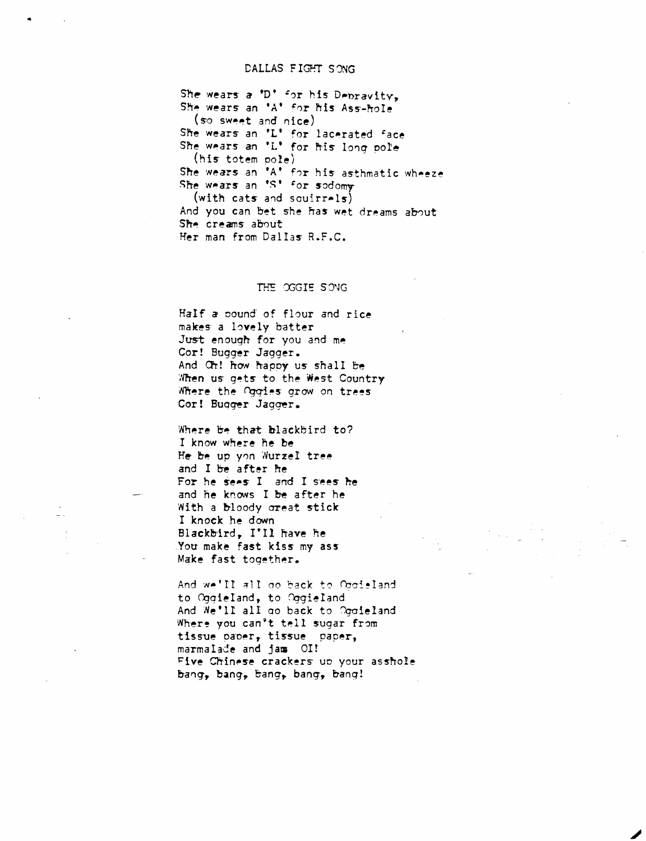# DALLAS FIGHT SONG

She wears a 'D' for his Depravity, She wears an 'A' for his Ass-hole  $(s_0 \text{ swest and nice})$ She wears an 'L' for lacerated face She wears an 'L' for his long pole (his totem pole) She wears an 'A' for his asthmatic wheeze She wears an 'S' for sodomy (with cats and souirrels) And you can bet she has wet dreams about She creams about Her man from Dallas R.F.C.

# THE OGGIE SONG

Half a bound of flour and rice makes a lovely batter Just enough for you and me Cor! Bugger Jagger. And Oh! how happy us shall be When us gets to the West Country Where the Oggies grow on trees Cor! Bugger Jagger.

Where be that blackbird to? I know where he be He be up yon Wurzel tree and I be after he For he sees I and I sees he and he knows I be after he With a bloody great stick I knock he down Blackbird, I'll have he You make fast kiss my ass Make fast together.

And we'll all do back to Occieland to Oggieland, to Oggieland And We'll all go back to Oggieland Where you can't tell sugar from tissue paper, tissue paper, marmalade and jam OI! Five Chinese crackers up your asshole bang, bang, bang, bang, bang!